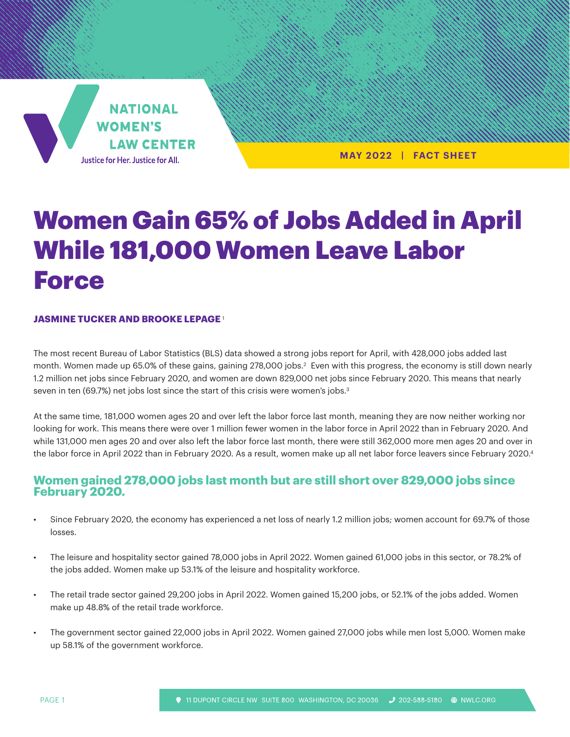

**MAY 2022 | FACT SHEET**

# Women Gain 65% of Jobs Added in April While 181,000 Women Leave Labor Force

#### **JASMINE TUCKER AND BROOKE LEPAGE** <sup>1</sup>

The most recent Bureau of Labor Statistics (BLS) data showed a strong jobs report for April, with 428,000 jobs added last month. Women made up 65.0% of these gains, gaining 278,000 jobs. $^2$  Even with this progress, the economy is still down nearly 1.2 million net jobs since February 2020, and women are down 829,000 net jobs since February 2020. This means that nearly seven in ten (69.7%) net jobs lost since the start of this crisis were women's jobs.<sup>3</sup>

At the same time, 181,000 women ages 20 and over left the labor force last month, meaning they are now neither working nor looking for work. This means there were over 1 million fewer women in the labor force in April 2022 than in February 2020. And while 131,000 men ages 20 and over also left the labor force last month, there were still 362,000 more men ages 20 and over in the labor force in April 2022 than in February 2020. As a result, women make up all net labor force leavers since February 2020.<sup>4</sup>

### **Women gained 278,000 jobs last month but are still short over 829,000 jobs since February 2020.**

- Since February 2020, the economy has experienced a net loss of nearly 1.2 million jobs; women account for 69.7% of those losses.
- The leisure and hospitality sector gained 78,000 jobs in April 2022. Women gained 61,000 jobs in this sector, or 78.2% of the jobs added. Women make up 53.1% of the leisure and hospitality workforce.
- The retail trade sector gained 29,200 jobs in April 2022. Women gained 15,200 jobs, or 52.1% of the jobs added. Women make up 48.8% of the retail trade workforce.
- The government sector gained 22,000 jobs in April 2022. Women gained 27,000 jobs while men lost 5,000. Women make up 58.1% of the government workforce.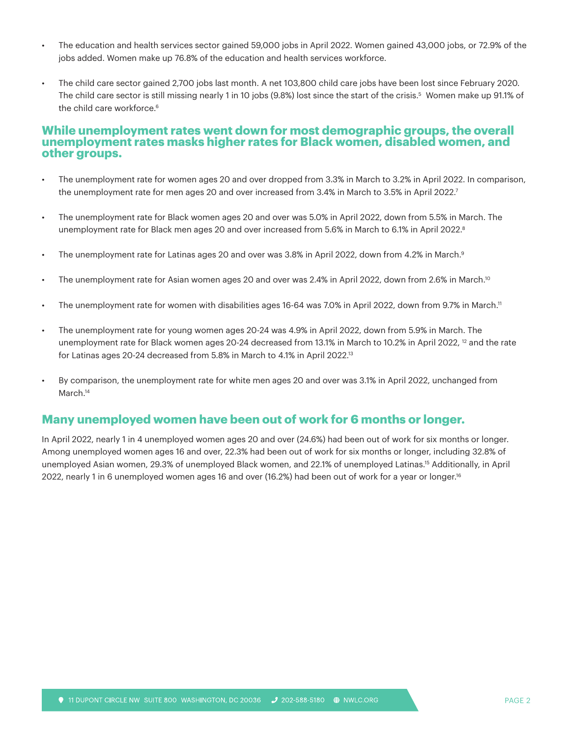- The education and health services sector gained 59,000 jobs in April 2022. Women gained 43,000 jobs, or 72.9% of the jobs added. Women make up 76.8% of the education and health services workforce.
- The child care sector gained 2,700 jobs last month. A net 103,800 child care jobs have been lost since February 2020. The child care sector is still missing nearly 1 in 10 jobs (9.8%) lost since the start of the crisis.<sup>5</sup> Women make up 91.1% of the child care workforce.<sup>6</sup>

#### **While unemployment rates went down for most demographic groups, the overall unemployment rates masks higher rates for Black women, disabled women, and other groups.**

- The unemployment rate for women ages 20 and over dropped from 3.3% in March to 3.2% in April 2022. In comparison, the unemployment rate for men ages 20 and over increased from 3.4% in March to 3.5% in April 2022. $^7$
- The unemployment rate for Black women ages 20 and over was 5.0% in April 2022, down from 5.5% in March. The unemployment rate for Black men ages 20 and over increased from 5.6% in March to 6.1% in April 2022.<sup>8</sup>
- The unemployment rate for Latinas ages 20 and over was 3.8% in April 2022, down from 4.2% in March.<sup>9</sup>
- The unemployment rate for Asian women ages 20 and over was 2.4% in April 2022, down from 2.6% in March.<sup>10</sup>
- The unemployment rate for women with disabilities ages 16-64 was 7.0% in April 2022, down from 9.7% in March.<sup>11</sup>
- The unemployment rate for young women ages 20-24 was 4.9% in April 2022, down from 5.9% in March. The unemployment rate for Black women ages 20-24 decreased from 13.1% in March to 10.2% in April 2022, <sup>12</sup> and the rate for Latinas ages 20-24 decreased from 5.8% in March to 4.1% in April 2022.<sup>13</sup>
- By comparison, the unemployment rate for white men ages 20 and over was 3.1% in April 2022, unchanged from March.<sup>14</sup>

#### **Many unemployed women have been out of work for 6 months or longer.**

In April 2022, nearly 1 in 4 unemployed women ages 20 and over (24.6%) had been out of work for six months or longer. Among unemployed women ages 16 and over, 22.3% had been out of work for six months or longer, including 32.8% of unemployed Asian women, 29.3% of unemployed Black women, and 22.1% of unemployed Latinas.15 Additionally, in April 2022, nearly 1 in 6 unemployed women ages 16 and over (16.2%) had been out of work for a year or longer.<sup>16</sup>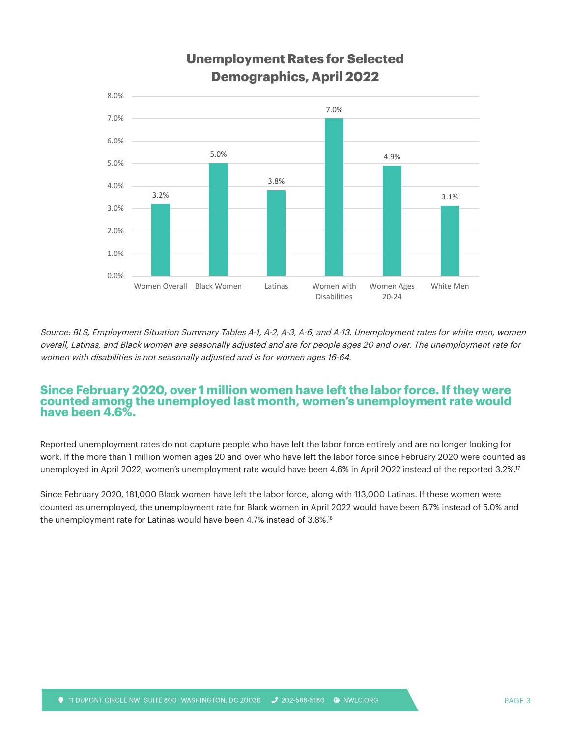

## **Unemployment Rates for Selected Demographics, April 2022**

Source: BLS, Employment Situation Summary Tables A-1, A-2, A-3, A-6, and A-13. Unemployment rates for white men, women overall, Latinas, and Black women are seasonally adjusted and are for people ages 20 and over. The unemployment rate for women with disabilities is not seasonally adjusted and is for women ages 16-64.

#### **Since February 2020, over 1 million women have left the labor force. If they were counted among the unemployed last month, women's unemployment rate would have been 4.6%.**

Reported unemployment rates do not capture people who have left the labor force entirely and are no longer looking for work. If the more than 1 million women ages 20 and over who have left the labor force since February 2020 were counted as unemployed in April 2022, women's unemployment rate would have been 4.6% in April 2022 instead of the reported 3.2%.17

Since February 2020, 181,000 Black women have left the labor force, along with 113,000 Latinas. If these women were counted as unemployed, the unemployment rate for Black women in April 2022 would have been 6.7% instead of 5.0% and the unemployment rate for Latinas would have been 4.7% instead of 3.8%.18